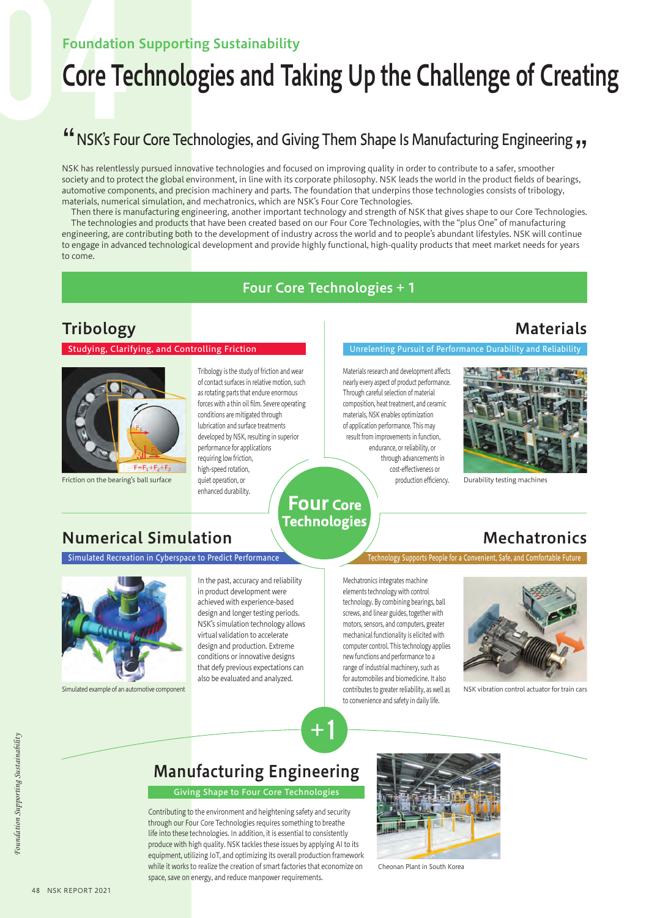#### Foundation Supporting Sustainability

# Core Technologies and Taking Up the Challenge of Creating

## NSK's Four Core Technologies, and Giving Them Shape Is Manufacturing Engineering " "

NSK has relentlessly pursued innovative technologies and focused on improving quality in order to contribute to a safer, smoother society and to protect the global environment, in line with its corporate philosophy. NSK leads the world in the product fields of bearings, automotive components, and precision machinery and parts. The foundation that underpins those technologies consists of tribology, materials, numerical simulation, and mechatronics, which are NSK's Four Core Technologies.

Then there is manufacturing engineering, another important technology and strength of NSK that gives shape to our Core Technologies. The technologies and products that have been created based on our Four Core Technologies, with the "plus One" of manufacturing engineering, are contributing both to the development of industry across the world and to people's abundant lifestyles. NSK will continue to engage in advanced technological development and provide highly functional, high-quality products that meet market needs for years to come.

#### Four Core Technologies + 1

## **Tribology**

#### Studying, Clarifying, and Controlling Friction



Friction on the bearing's ball surface

Tribology is the study of friction and wear of contact surfaces in relative motion, such as rotating parts that endure enormous forces with a thin oil film. Severe operating conditions are mitigated through lubrication and surface treatments developed by NSK, resulting in superior performance for applications requiring low friction, high-speed rotation, quiet operation, or enhanced durability. Four Core

#### Unrelenting Pursuit of Performance Durability and Reliability

Materials research and development affects nearly every aspect of product performance. Through careful selection of material composition, heat treatment, and ceramic materials, NSK enables optimization of application performance. This may result from improvements in function, endurance, or reliability, or through advancements in cost-effectiveness or production efficiency.



**Materials** 

Durability testing machines

## Numerical Simulation

Simulated Recreation in Cyberspace to Predict Performance Technology Supports People for a Convenient, Safe, and Comfortable Future



Simulated example of an automotive component

In the past, accuracy and reliability in product development were achieved with experience-based design and longer testing periods. NSK's simulation technology allows virtual validation to accelerate design and production. Extreme conditions or innovative designs that defy previous expectations can also be evaluated and analyzed.

## **Mechatronics**

Mechatronics integrates machine elements technology with control technology. By combining bearings, ball screws, and linear guides, together with motors, sensors, and computers, greater mechanical functionality is elicited with computer control. This technology applies new functions and performance to a range of industrial machinery, such as for automobiles and biomedicine. It also contributes to greater reliability, as well as to convenience and safety in daily life.



NSK vibration control actuator for train cars



+1

**Technologies** 

#### Giving Shape to Four Core Technologies

Contributing to the environment and heightening safety and security through our Four Core Technologies requires something to breathe life into these technologies. In addition, it is essential to consistently produce with high quality. NSK tackles these issues by applying AI to its equipment, utilizing IoT, and optimizing its overall production framework while it works to realize the creation of smart factories that economize on space, save on energy, and reduce manpower requirements.



Cheonan Plant in South Korea